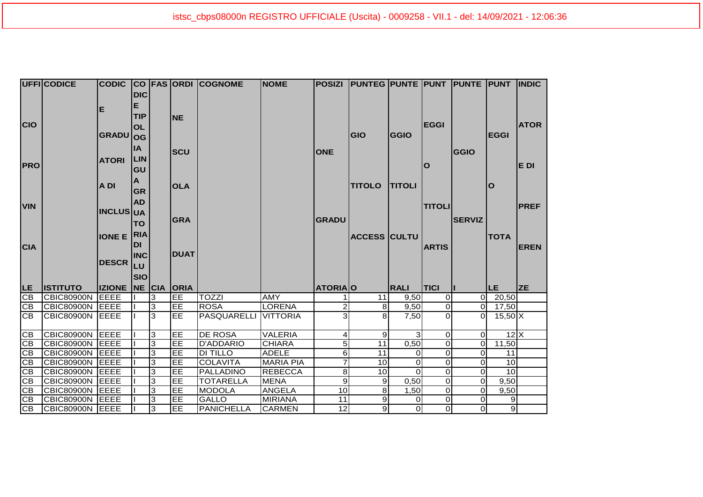|                        | UFFICODICE                           | <b>CODIC</b>                        |            |   |                   | <b>CO FAS ORDI COGNOME</b> | <b>NOME</b>      | <b>POSIZI</b>  | <b>PUNTEG PUNTE PUNT PUNTE PUNT</b> |                |                         |               |                           | <b>IINDIC</b> |
|------------------------|--------------------------------------|-------------------------------------|------------|---|-------------------|----------------------------|------------------|----------------|-------------------------------------|----------------|-------------------------|---------------|---------------------------|---------------|
|                        |                                      |                                     | <b>DIC</b> |   |                   |                            |                  |                |                                     |                |                         |               |                           |               |
|                        |                                      |                                     | Е          |   |                   |                            |                  |                |                                     |                |                         |               |                           |               |
|                        |                                      | Е                                   | <b>TIP</b> |   | <b>NE</b>         |                            |                  |                |                                     |                |                         |               |                           |               |
| <b>CIO</b>             |                                      |                                     | <b>OL</b>  |   |                   |                            |                  |                |                                     |                | <b>EGGI</b>             |               |                           | <b>ATOR</b>   |
|                        |                                      | <b>GRADU</b>                        | <b>OG</b>  |   |                   |                            |                  |                | GIO                                 | <b>GGIO</b>    |                         |               | <b>EGGI</b>               |               |
|                        |                                      |                                     | <b>IA</b>  |   |                   |                            |                  |                |                                     |                |                         |               |                           |               |
|                        |                                      |                                     |            |   | <b>SCU</b>        |                            |                  | <b>ONE</b>     |                                     |                |                         | <b>GGIO</b>   |                           |               |
| <b>PRO</b>             |                                      | <b>ATORI</b>                        | <b>LIN</b> |   |                   |                            |                  |                |                                     |                | 0                       |               |                           | E DI          |
|                        |                                      |                                     | GU         |   |                   |                            |                  |                |                                     |                |                         |               |                           |               |
|                        |                                      | A DI                                | A          |   | <b>OLA</b>        |                            |                  |                | <b>TITOLO</b>                       | <b>TITOLI</b>  |                         |               | O                         |               |
|                        |                                      |                                     | <b>GR</b>  |   |                   |                            |                  |                |                                     |                |                         |               |                           |               |
| <b>VIN</b>             |                                      |                                     | <b>AD</b>  |   |                   |                            |                  |                |                                     |                | <b>TITOLI</b>           |               |                           | <b>PREF</b>   |
|                        |                                      | <b>INCLUS UA</b>                    |            |   |                   |                            |                  |                |                                     |                |                         |               |                           |               |
|                        |                                      |                                     | <b>TO</b>  |   | <b>GRA</b>        |                            |                  | <b>GRADU</b>   |                                     |                |                         | <b>SERVIZ</b> |                           |               |
|                        |                                      | <b>IONE E RIA</b>                   |            |   |                   |                            |                  |                | <b>ACCESS CULTU</b>                 |                |                         |               | <b>TOTA</b>               |               |
| <b>CIA</b>             |                                      |                                     | <b>DI</b>  |   |                   |                            |                  |                |                                     |                | <b>ARTIS</b>            |               |                           | <b>EREN</b>   |
|                        |                                      |                                     | <b>INC</b> |   | <b>DUAT</b>       |                            |                  |                |                                     |                |                         |               |                           |               |
|                        |                                      | <b>DESCR</b>                        | LU         |   |                   |                            |                  |                |                                     |                |                         |               |                           |               |
|                        |                                      |                                     | <b>SIO</b> |   |                   |                            |                  |                |                                     |                |                         |               |                           |               |
|                        |                                      |                                     |            |   |                   |                            |                  |                |                                     |                |                         |               |                           |               |
| <b>LE</b><br><b>CB</b> | <b>ISTITUTO</b><br><b>CBIC80900N</b> | <b>IZIONE NE CIA</b><br><b>EEEE</b> |            | 3 | <b>ORIA</b><br>EE | <b>TOZZI</b>               | <b>AMY</b>       | <b>ATORIAO</b> | 11                                  | <b>RALI</b>    | <b>TICI</b><br>$\Omega$ | $\Omega$      | <b>LE</b>                 | <b>ZE</b>     |
| CB                     | CBIC80900N EEEE                      |                                     |            | 3 | EE                | <b>ROSA</b>                | <b>LORENA</b>    | $\overline{a}$ | 8                                   | 9,50<br>9,50   | $\Omega$                | $\Omega$      | 20,50<br>17,50            |               |
| CB                     | CBIC80900N EEEE                      |                                     |            | 3 | EE                | PASQUARELLI                | <b>VITTORIA</b>  | $\overline{3}$ | 8                                   | 7,50           | $\Omega$                | $\Omega$      | $15,50$ X                 |               |
|                        |                                      |                                     |            |   |                   |                            |                  |                |                                     |                |                         |               |                           |               |
| CB                     | CBIC80900N EEEE                      |                                     |            | 3 | EE                | <b>DE ROSA</b>             | <b>VALERIA</b>   | $\vert$        | 9                                   | $\mathbf{3}$   | $\Omega$                | $\Omega$      | $12\overline{\mathrm{X}}$ |               |
| CB                     | CBIC80900N EEEE                      |                                     |            | 3 | EE                | <b>D'ADDARIO</b>           | <b>CHIARA</b>    | $\overline{5}$ | 11                                  | 0,50           | $\Omega$                | 0             | 11,50                     |               |
| $\overline{CB}$        | CBIC80900N EEEE                      |                                     |            | 3 | E                 | <b>DI TILLO</b>            | <b>ADELE</b>     | 6              | $\overline{11}$                     | $\Omega$       | $\Omega$                | 0             | 11                        |               |
| СB                     | CBIC80900N EEEE                      |                                     |            | 3 | EE                | <b>COLAVITA</b>            | <b>MARIA PIA</b> | $\overline{7}$ | 10                                  | $\Omega$       | $\Omega$                | 0             | 10                        |               |
| GB                     | CBIC80900N EEEE                      |                                     |            | 3 | EE                | <b>PALLADINO</b>           | <b>REBECCA</b>   | 8 <sup>8</sup> | 10                                  | $\Omega$       | $\Omega$                | 0             | $\overline{10}$           |               |
| CB                     | CBIC80900N EEEE                      |                                     |            | 3 | EE                | <b>TOTARELLA</b>           | <b>MENA</b>      | $\overline{9}$ | $\overline{9}$                      | 0,50           | $\Omega$                | $\mathbf 0$   | 9,50                      |               |
| $\overline{CB}$        | <b>CBIC80900N</b>                    | <b>EEEE</b>                         |            | 3 | EE                | <b>MODOLA</b>              | <b>ANGELA</b>    | 10             | 8                                   | 1,50           | 0                       | 0             | 9,50                      |               |
| CB                     | CBIC80900N EEEE                      |                                     |            | 3 | EE                | <b>GALLO</b>               | <b>MIRIANA</b>   | 11             | 9                                   | $\Omega$       | $\Omega$                | $\Omega$      | $\overline{9}$            |               |
| $\overline{CB}$        | CBIC80900N EEEE                      |                                     |            | 3 | EE                | <b>PANICHELLA</b>          | <b>CARMEN</b>    | 12             | 9                                   | $\overline{0}$ | $\Omega$                | $\Omega$      | $\overline{9}$            |               |